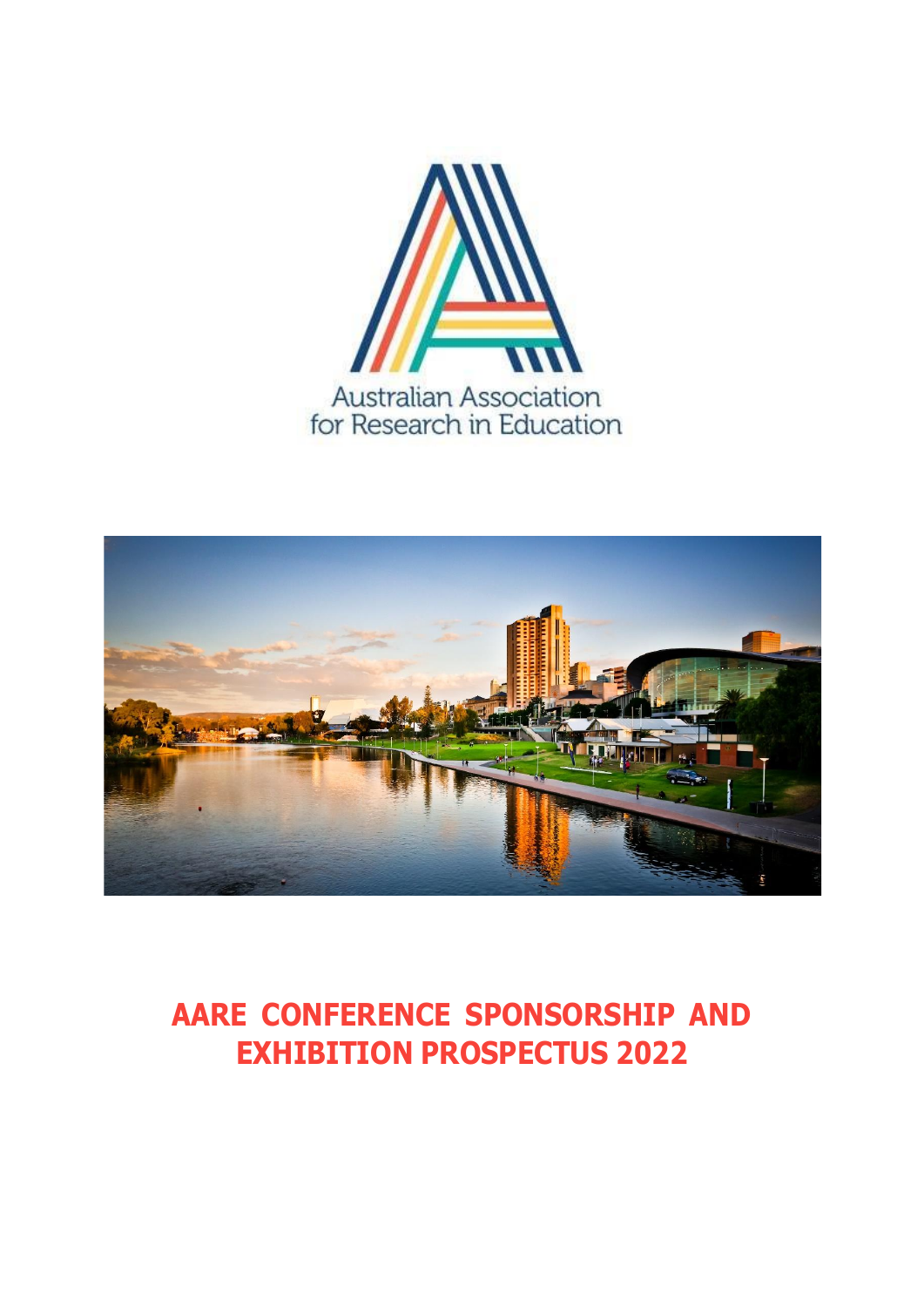



# **AARE CONFERENCE SPONSORSHIP AND EXHIBITION PROSPECTUS 2022**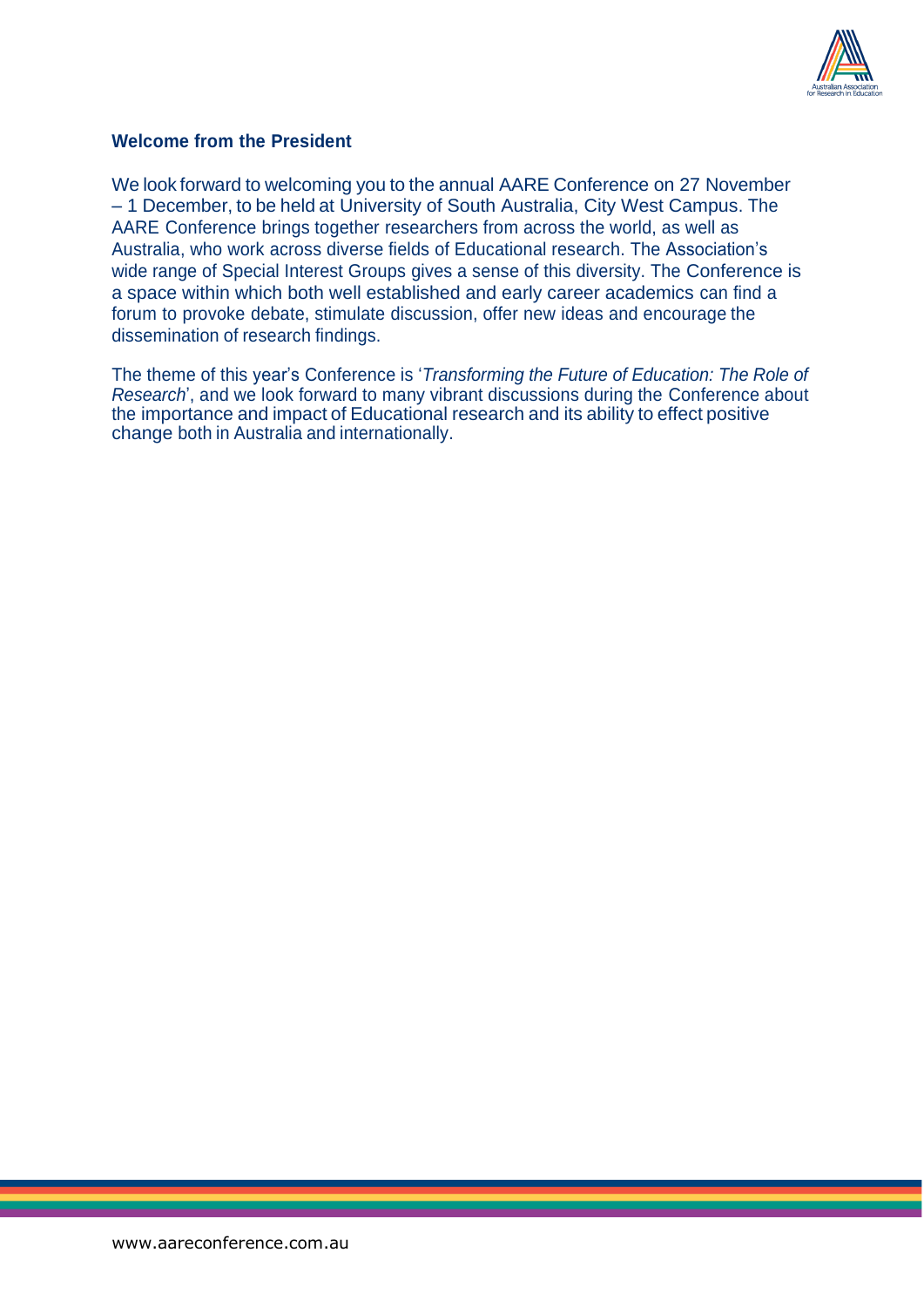

#### **Welcome from the President**

We look forward to welcoming you to the annual AARE Conference on 27 November – 1 December, to be held at University of South Australia, City West Campus. The AARE Conference brings together researchers from across the world, as well as Australia, who work across diverse fields of Educational research. The Association's wide range of Special Interest Groups gives a sense of this diversity. The Conference is a space within which both well established and early career academics can find a forum to provoke debate, stimulate discussion, offer new ideas and encourage the dissemination of research findings.

The theme of this year's Conference is '*Transforming the Future of Education: The Role of Research*', and we look forward to many vibrant discussions during the Conference about the importance and impact of Educational research and its ability to effect positive change both in Australia and internationally.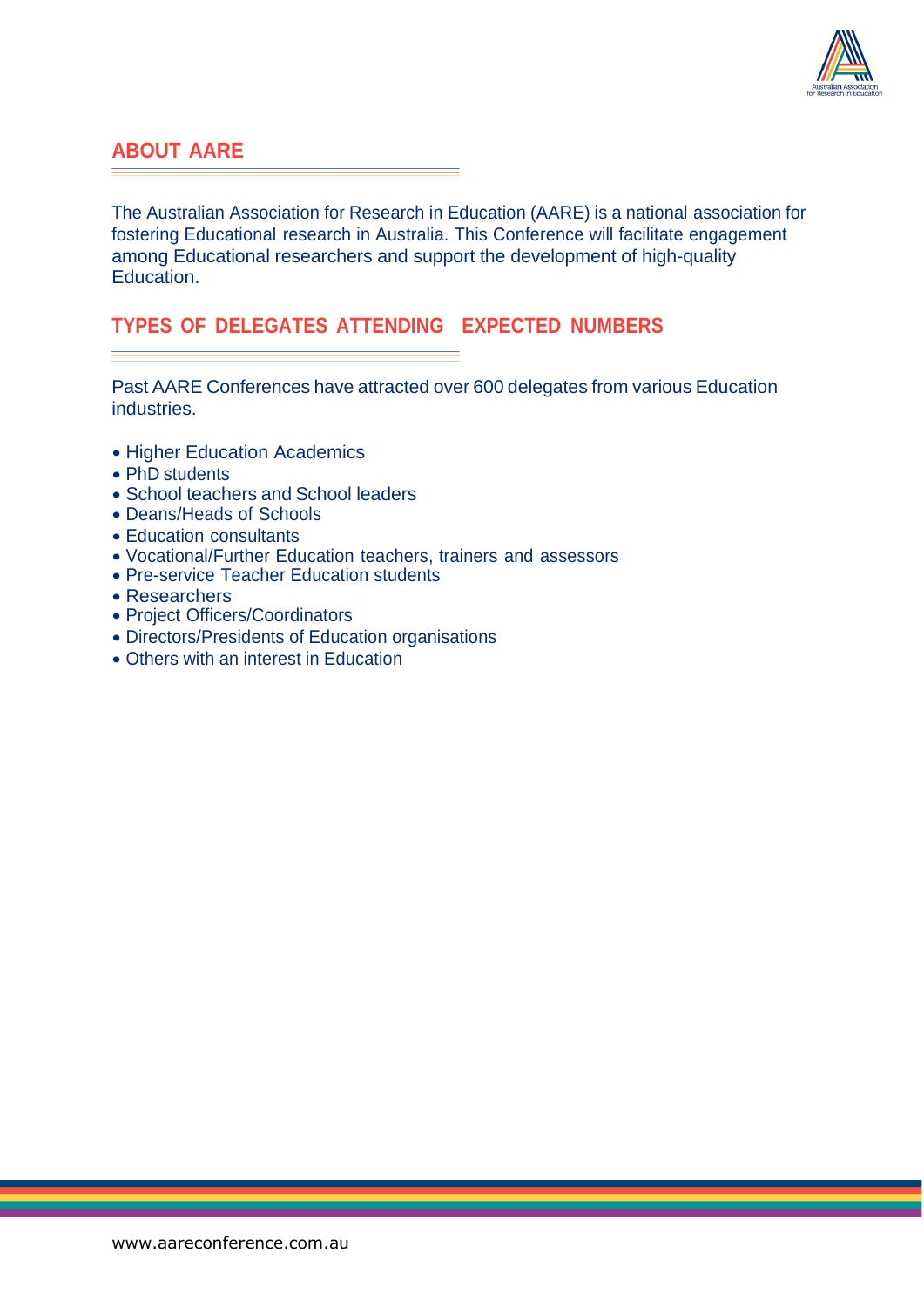

#### **ABOUT AARE**

The Australian Association for Research in Education (AARE) is a national association for fostering Educational research in Australia. This Conference will facilitate engagement among Educational researchers and support the development of high-quality Education.

#### **TYPES OF DELEGATES ATTENDING EXPECTED NUMBERS**

Past AARE Conferences have attracted over 600 delegates from various Education industries.

- Higher Education Academics
- PhD students
- School teachers and School leaders
- Deans/Heads of Schools
- Education consultants
- Vocational/Further Education teachers, trainers and assessors
- Pre-service Teacher Education students
- Researchers
- Project Officers/Coordinators
- Directors/Presidents of Education organisations
- Others with an interest in Education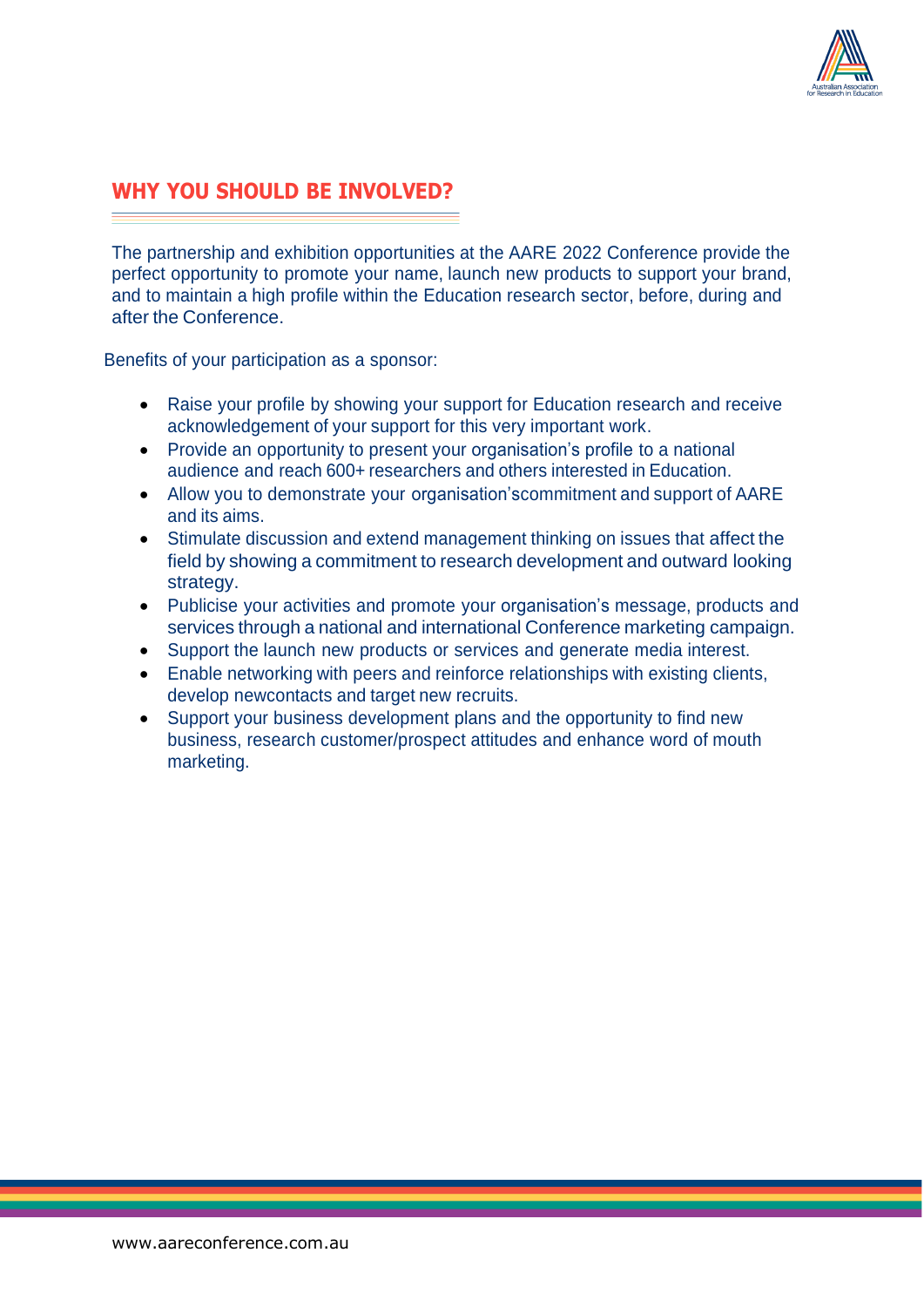

### **WHY YOU SHOULD BE INVOLVED?**

The partnership and exhibition opportunities at the AARE 2022 Conference provide the perfect opportunity to promote your name, launch new products to support your brand, and to maintain a high profile within the Education research sector, before, during and after the Conference.

Benefits of your participation as a sponsor:

- Raise your profile by showing your support for Education research and receive acknowledgement of your support for this very important work.
- Provide an opportunity to present your organisation's profile to a national audience and reach 600+ researchers and others interested in Education.
- Allow you to demonstrate your organisation'scommitment and support of AARE and its aims.
- Stimulate discussion and extend management thinking on issues that affect the field by showing a commitment to research development and outward looking strategy.
- Publicise your activities and promote your organisation's message, products and services through a national and international Conference marketing campaign.
- Support the launch new products or services and generate media interest.
- Enable networking with peers and reinforce relationships with existing clients, develop newcontacts and target new recruits.
- Support your business development plans and the opportunity to find new business, research customer/prospect attitudes and enhance word of mouth marketing.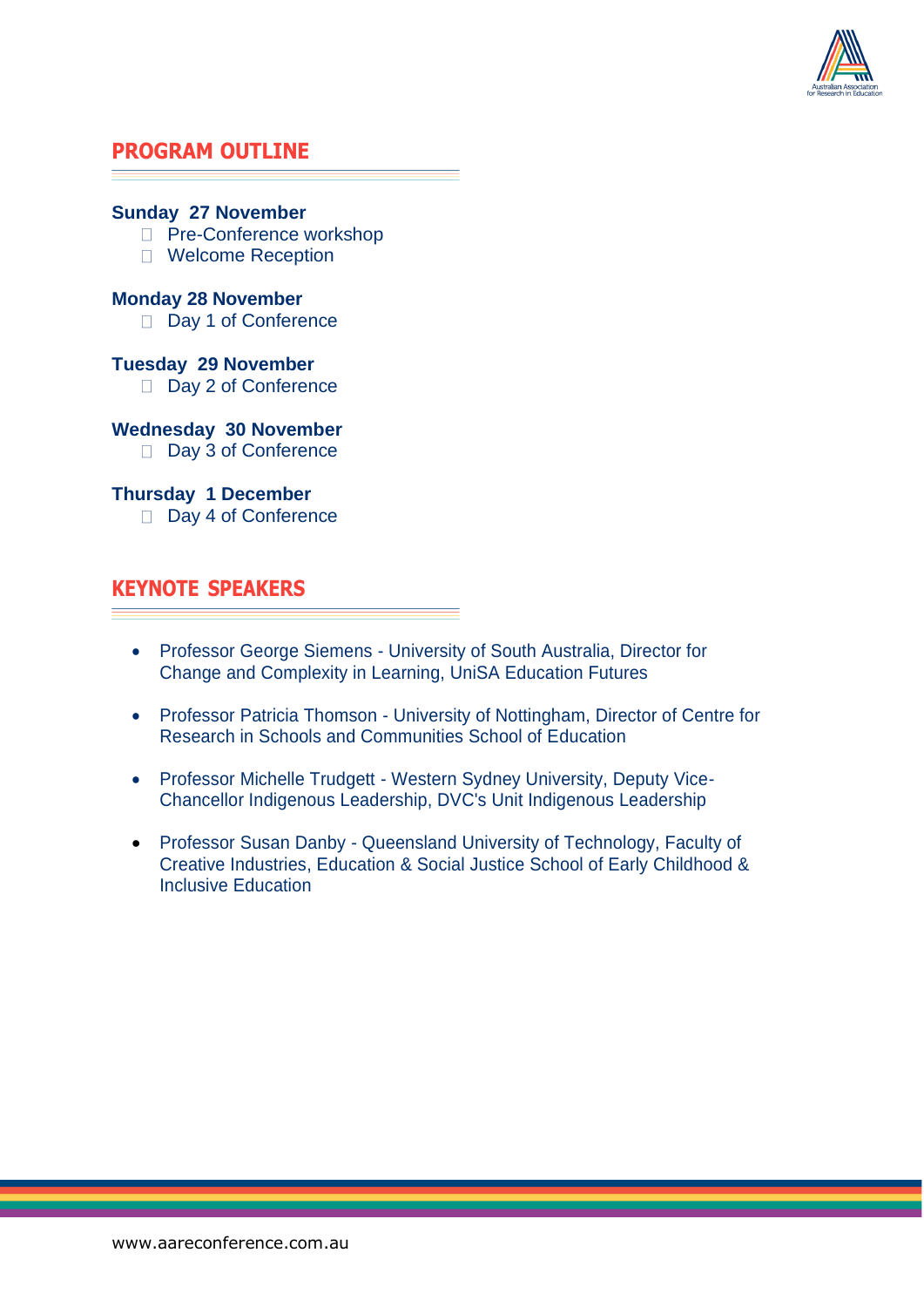

#### **PROGRAM OUTLINE**

#### **Sunday 27 November**

- □ Pre-Conference workshop
- □ Welcome Reception

#### **Monday 28 November**

Day 1 of Conference

#### **Tuesday 29 November**

Day 2 of Conference

#### **Wednesday 30 November**

Day 3 of Conference

#### **Thursday 1 December**

Day 4 of Conference

#### **KEYNOTE SPEAKERS**

- Professor George Siemens University of South Australia, Director for Change and Complexity in Learning, UniSA Education Futures
- Professor Patricia Thomson University of Nottingham, Director of Centre for Research in Schools and Communities School of Education
- Professor Michelle Trudgett Western Sydney University, Deputy Vice-Chancellor Indigenous Leadership, DVC's Unit Indigenous Leadership
- Professor Susan Danby Queensland University of Technology, Faculty of Creative Industries, Education & Social Justice School of Early Childhood & Inclusive Education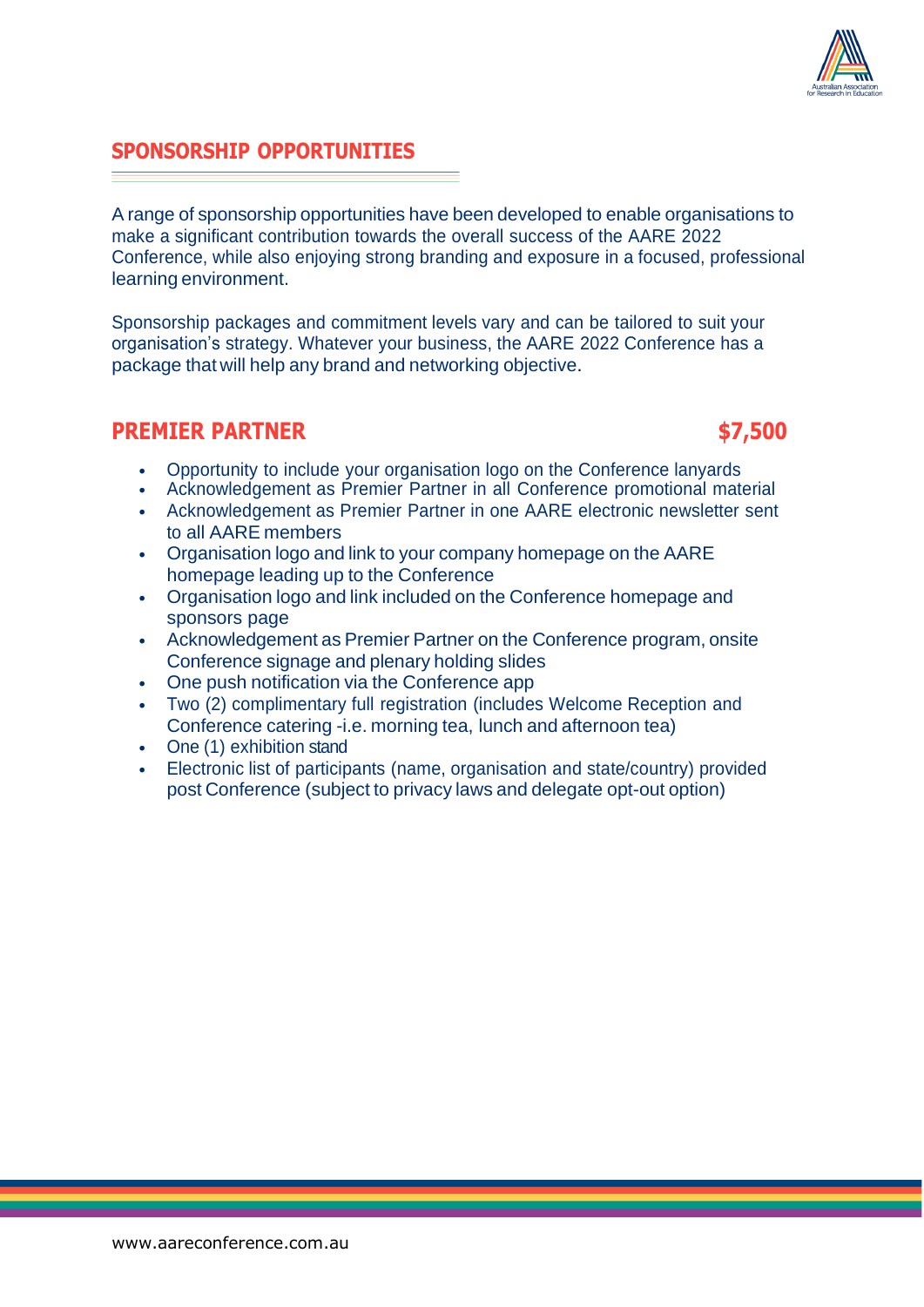### **SPONSORSHIP OPPORTUNITIES**

A range of sponsorship opportunities have been developed to enable organisations to make a significant contribution towards the overall success of the AARE 2022 Conference, while also enjoying strong branding and exposure in a focused, professional learning environment.

Sponsorship packages and commitment levels vary and can be tailored to suit your organisation's strategy. Whatever your business, the AARE 2022 Conference has a package that will help any brand and networking objective.

#### **PREMIER PARTNER \$7,500**

- Opportunity to include your organisation logo on the Conference lanyards
- Acknowledgement as Premier Partner in all Conference promotional material
- Acknowledgement as Premier Partner in one AARE electronic newsletter sent to all AARE members
- Organisation logo and link to your company homepage on the AARE homepage leading up to the Conference
- Organisation logo and link included on the Conference homepage and sponsors page
- Acknowledgement as Premier Partner on the Conference program, onsite Conference signage and plenary holding slides
- One push notification via the Conference app
- Two (2) complimentary full registration (includes Welcome Reception and Conference catering -i.e. morning tea, lunch and afternoon tea)
- One (1) exhibition stand
- Electronic list of participants (name, organisation and state/country) provided post Conference (subject to privacy laws and delegate opt-out option)



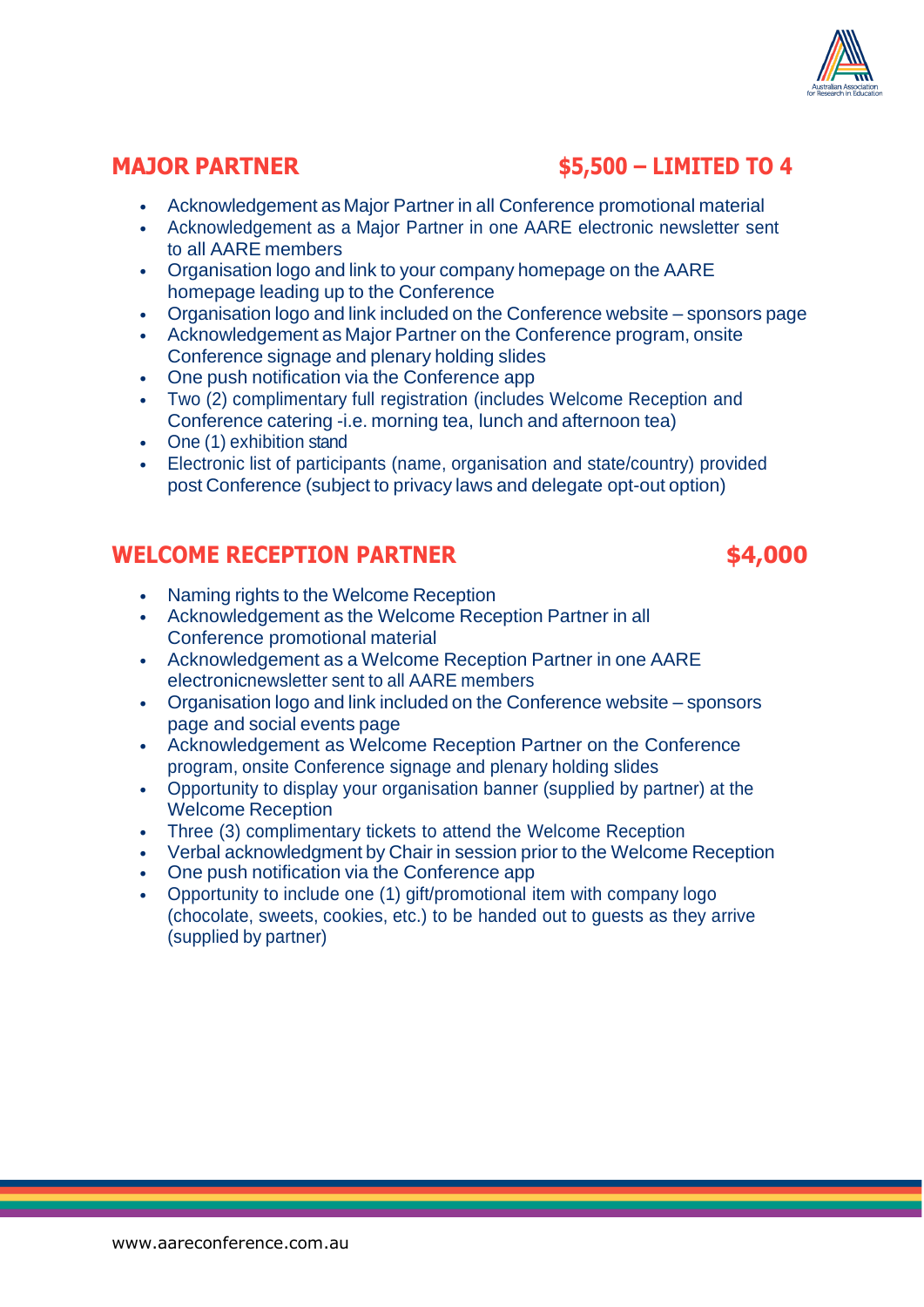

## **MAJOR PARTNER \$5,500 – LIMITED TO 4**

- Acknowledgement as Major Partner in all Conference promotional material
- Acknowledgement as a Major Partner in one AARE electronic newsletter sent to all AARE members
- Organisation logo and link to your company homepage on the AARE homepage leading up to the Conference
- Organisation logo and link included on the Conference website sponsors page
- Acknowledgement as Major Partner on the Conference program, onsite Conference signage and plenary holding slides
- One push notification via the Conference app
- Two (2) complimentary full registration (includes Welcome Reception and Conference catering -i.e. morning tea, lunch and afternoon tea)
- One (1) exhibition stand
- Electronic list of participants (name, organisation and state/country) provided post Conference (subject to privacy laws and delegate opt-out option)

## **WELCOME RECEPTION PARTNER \$4,000**

- Naming rights to the Welcome Reception
- Acknowledgement as the Welcome Reception Partner in all Conference promotional material
- Acknowledgement as a Welcome Reception Partner in one AARE electronicnewsletter sent to all AARE members
- Organisation logo and link included on the Conference website sponsors page and social events page
- Acknowledgement as Welcome Reception Partner on the Conference program, onsite Conference signage and plenary holding slides
- Opportunity to display your organisation banner (supplied by partner) at the Welcome Reception
- Three (3) complimentary tickets to attend the Welcome Reception
- Verbal acknowledgment by Chair in session prior to the Welcome Reception
- One push notification via the Conference app
- Opportunity to include one (1) gift/promotional item with company logo (chocolate, sweets, cookies, etc.) to be handed out to guests as they arrive (supplied by partner)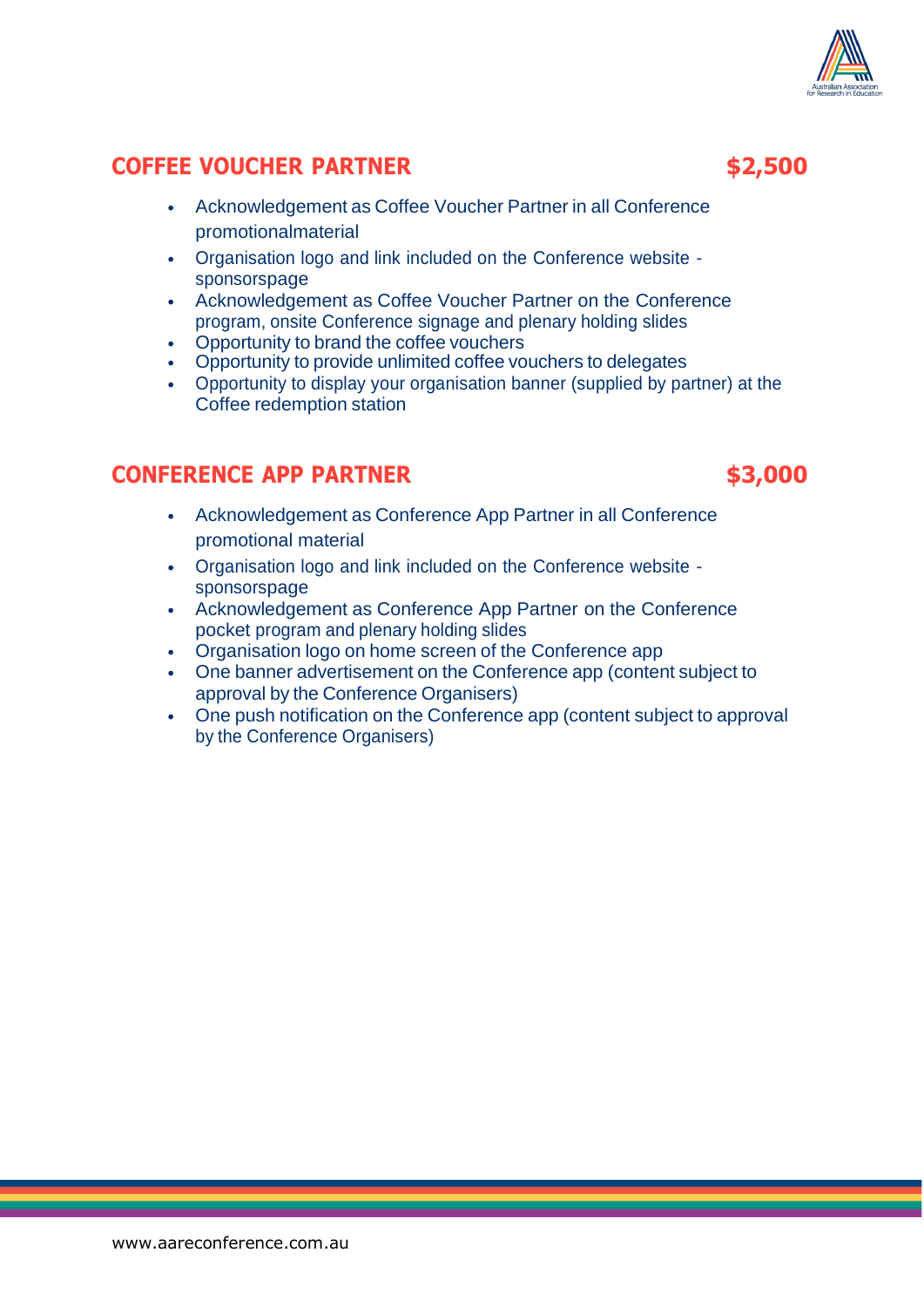### **COFFEE VOUCHER PARTNER \$2,500**

- Acknowledgement as Coffee Voucher Partner in all Conference promotionalmaterial
- Organisation logo and link included on the Conference website sponsorspage
- Acknowledgement as Coffee Voucher Partner on the Conference program, onsite Conference signage and plenary holding slides
- Opportunity to brand the coffee vouchers
- Opportunity to provide unlimited coffee vouchers to delegates
- Opportunity to display your organisation banner (supplied by partner) at the Coffee redemption station

## **CONFERENCE APP PARTNER \$3,000**

- Acknowledgement as Conference App Partner in all Conference promotional material
- Organisation logo and link included on the Conference website sponsorspage
- Acknowledgement as Conference App Partner on the Conference pocket program and plenary holding slides
- Organisation logo on home screen of the Conference app
- One banner advertisement on the Conference app (content subject to approval by the Conference Organisers)
- One push notification on the Conference app (content subject to approval by the Conference Organisers)



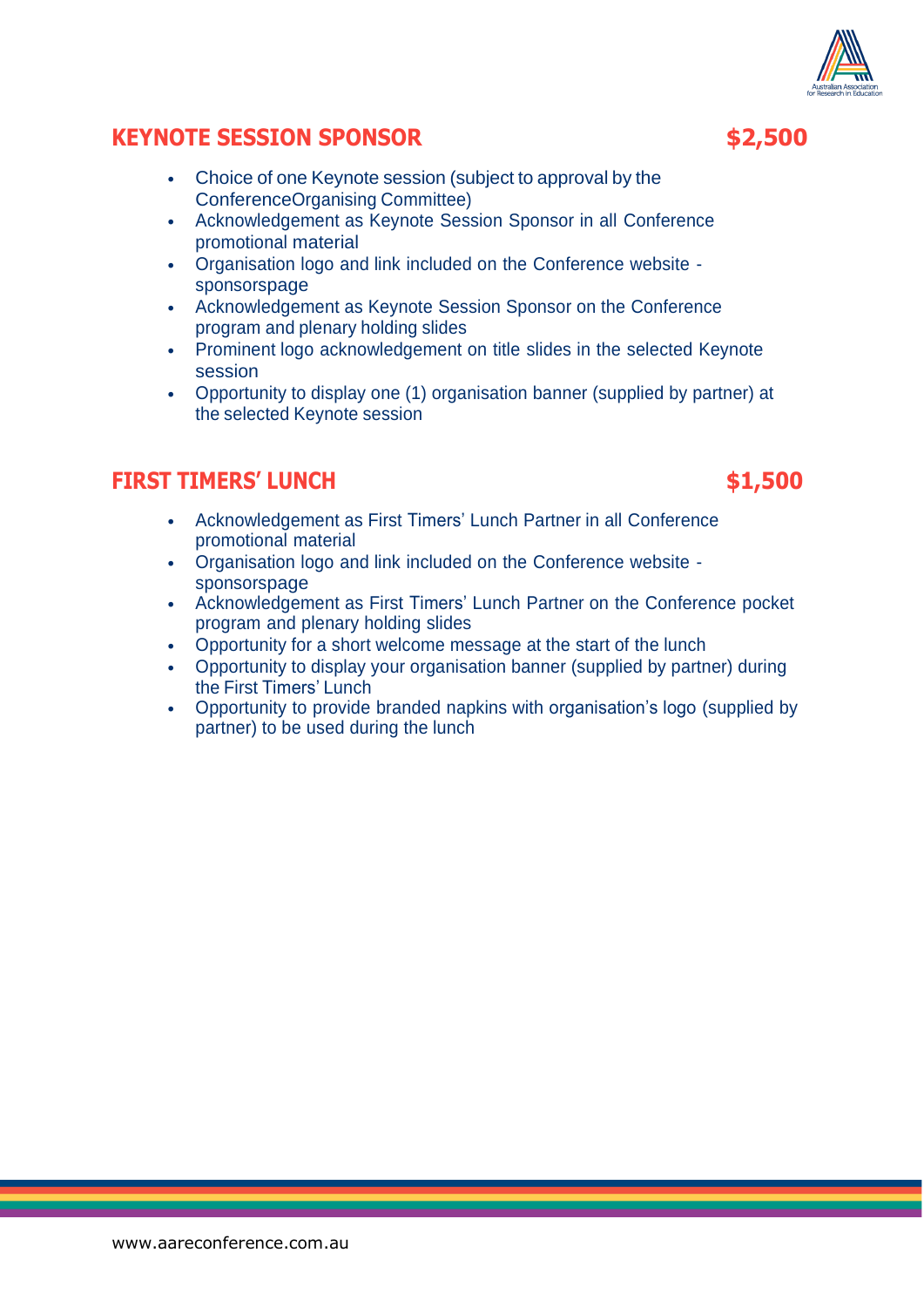## **KEYNOTE SESSION SPONSOR \$2,500**

- Choice of one Keynote session (subject to approval by the ConferenceOrganising Committee)
- Acknowledgement as Keynote Session Sponsor in all Conference promotional material
- Organisation logo and link included on the Conference website sponsorspage
- Acknowledgement as Keynote Session Sponsor on the Conference program and plenary holding slides
- Prominent logo acknowledgement on title slides in the selected Keynote session
- Opportunity to display one (1) organisation banner (supplied by partner) at the selected Keynote session

### **FIRST TIMERS' LUNCH \$1,500**

- Acknowledgement as First Timers' Lunch Partner in all Conference promotional material
- Organisation logo and link included on the Conference website sponsorspage
- Acknowledgement as First Timers' Lunch Partner on the Conference pocket program and plenary holding slides
- Opportunity for a short welcome message at the start of the lunch
- Opportunity to display your organisation banner (supplied by partner) during the First Timers' Lunch
- Opportunity to provide branded napkins with organisation's logo (supplied by partner) to be used during the lunch

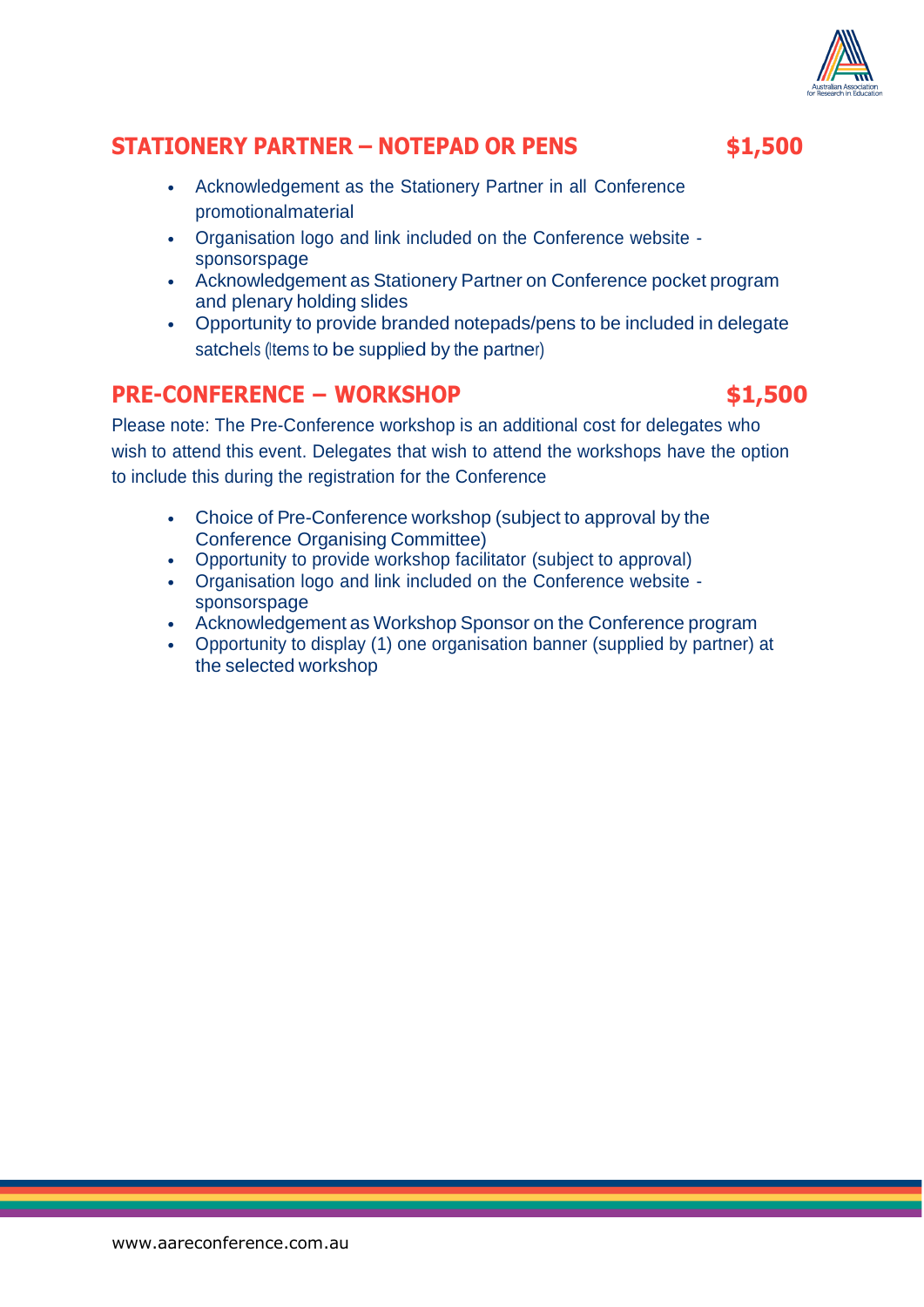

## **STATIONERY PARTNER – NOTEPAD OR PENS \$1,500**

- Acknowledgement as the Stationery Partner in all Conference promotionalmaterial
- Organisation logo and link included on the Conference website sponsorspage
- Acknowledgement as Stationery Partner on Conference pocket program and plenary holding slides
- Opportunity to provide branded notepads/pens to be included in delegate satchels (Items to be supplied by the partner)

## **PRE-CONFERENCE – WORKSHOP \$1,500**

Please note: The Pre-Conference workshop is an additional cost for delegates who wish to attend this event. Delegates that wish to attend the workshops have the option to include this during the registration for the Conference

- Choice of Pre-Conference workshop (subject to approval by the Conference Organising Committee)
- Opportunity to provide workshop facilitator (subject to approval)
- Organisation logo and link included on the Conference website sponsorspage
- Acknowledgement as Workshop Sponsor on the Conference program
- Opportunity to display (1) one organisation banner (supplied by partner) at the selected workshop

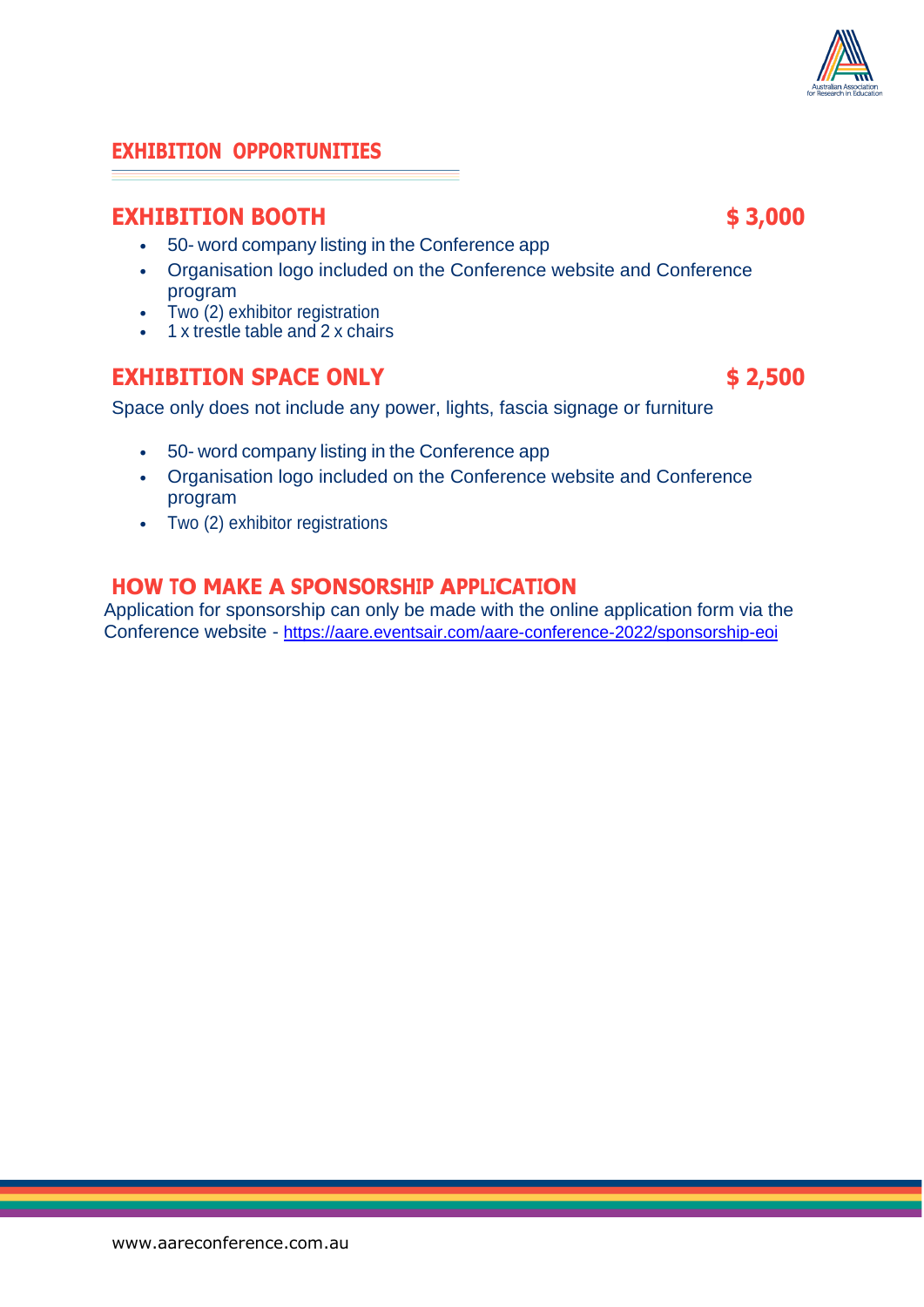#### [www.aareconference.com.au](http://www.aareconference.com.au/)

#### **EXHIBITION OPPORTUNITIES**

#### **EXHIBITION BOOTH \$ 3,000**

- 50- word company listing in the Conference app
- Organisation logo included on the Conference website and Conference program
- Two (2) exhibitor registration
- 1 x trestle table and 2 x chairs

### **EXHIBITION SPACE ONLY \$ 2,500**

Space only does not include any power, lights, fascia signage or furniture

- 50- word company listing in the Conference app
- Organisation logo included on the Conference website and Conference program
- Two (2) exhibitor registrations

#### **HOW TO MAKE A SPONSORSHIP APPLICATION**

Application for sponsorship can only be made with the online application form via the Conference website - <https://aare.eventsair.com/aare-conference-2022/sponsorship-eoi>

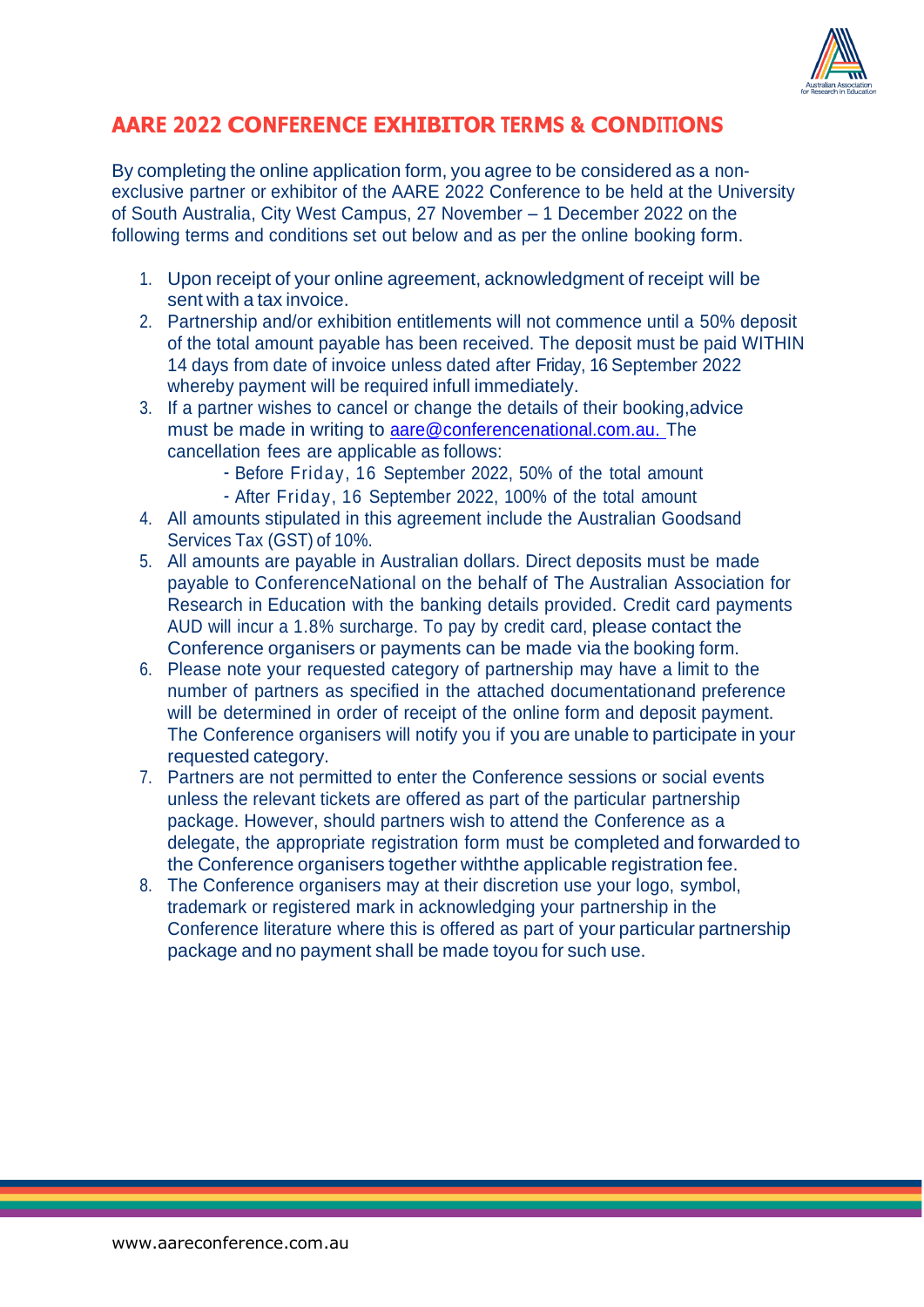

## **AARE 2022 CONFERENCE EXHIBITOR TERMS & CONDITIONS**

By completing the online application form, you agree to be considered as a nonexclusive partner or exhibitor of the AARE 2022 Conference to be held at the University of South Australia, City West Campus, 27 November – 1 December 2022 on the following terms and conditions set out below and as per the online booking form.

- 1. Upon receipt of your online agreement, acknowledgment of receipt will be sent with a tax invoice.
- 2. Partnership and/or exhibition entitlements will not commence until a 50% deposit of the total amount payable has been received. The deposit must be paid WITHIN 14 days from date of invoice unless dated after Friday, 16 September 2022 whereby payment will be required infull immediately.
- 3. If a partner wishes to cancel or change the details of their booking,advice must be made in writing to [aare@conferencenational.com.au.](mailto:aare@conferencenational.com.au.) The cancellation fees are applicable as follows:
	- Before Friday, 16 September 2022, 50% of the total amount
	- After Friday, 16 September 2022, 100% of the total amount
- 4. All amounts stipulated in this agreement include the Australian Goodsand Services Tax (GST) of 10%.
- 5. All amounts are payable in Australian dollars. Direct deposits must be made payable to ConferenceNational on the behalf of The Australian Association for Research in Education with the banking details provided. Credit card payments AUD will incur a 1.8% surcharge. To pay by credit card, please contact the Conference organisers or payments can be made via the booking form.
- 6. Please note your requested category of partnership may have a limit to the number of partners as specified in the attached documentationand preference will be determined in order of receipt of the online form and deposit payment. The Conference organisers will notify you if you are unable to participate in your requested category.
- 7. Partners are not permitted to enter the Conference sessions or social events unless the relevant tickets are offered as part of the particular partnership package. However, should partners wish to attend the Conference as a delegate, the appropriate registration form must be completed and forwarded to the Conference organisers together withthe applicable registration fee.
- 8. The Conference organisers may at their discretion use your logo, symbol, trademark or registered mark in acknowledging your partnership in the Conference literature where this is offered as part of your particular partnership package and no payment shall be made toyou for such use.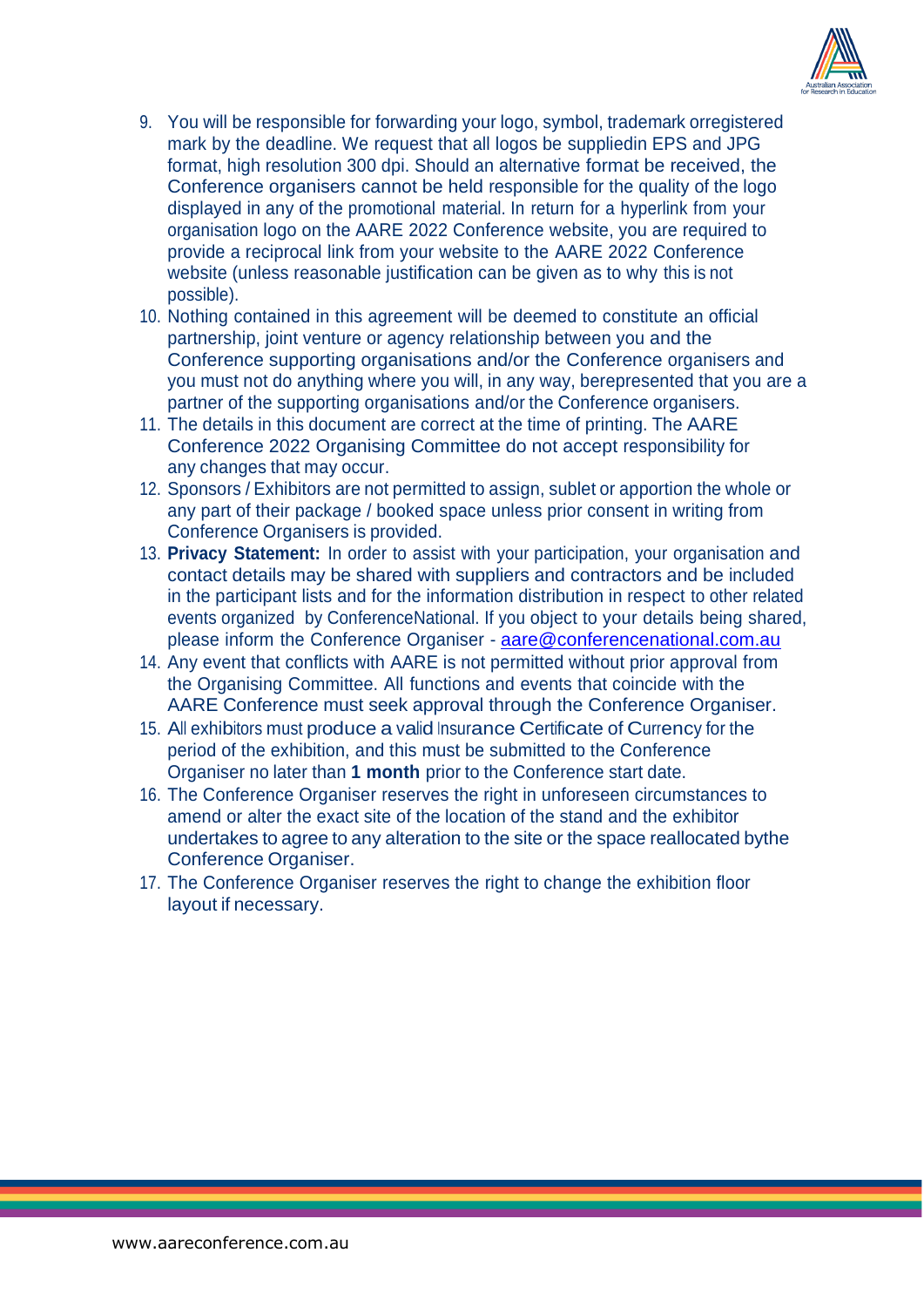

- 9. You will be responsible for forwarding your logo, symbol, trademark orregistered mark by the deadline. We request that all logos be suppliedin EPS and JPG format, high resolution 300 dpi. Should an alternative format be received, the Conference organisers cannot be held responsible for the quality of the logo displayed in any of the promotional material. In return for a hyperlink from your organisation logo on the AARE 2022 Conference website, you are required to provide a reciprocal link from your website to the AARE 2022 Conference website (unless reasonable justification can be given as to why this is not possible).
- 10. Nothing contained in this agreement will be deemed to constitute an official partnership, joint venture or agency relationship between you and the Conference supporting organisations and/or the Conference organisers and you must not do anything where you will, in any way, berepresented that you are a partner of the supporting organisations and/or the Conference organisers.
- 11. The details in this document are correct at the time of printing. The AARE Conference 2022 Organising Committee do not accept responsibility for any changes that may occur.
- 12. Sponsors / Exhibitors are not permitted to assign, sublet or apportion the whole or any part of their package / booked space unless prior consent in writing from Conference Organisers is provided.
- 13. **Privacy Statement:** In order to assist with your participation, your organisation and contact details may be shared with suppliers and contractors and be included in the participant lists and for the information distribution in respect to other related events organized by ConferenceNational. If you object to your details being shared, please inform the Conference Organiser - [aare@conferencenational.com.au](mailto:aare@conferencenational.com.au)
- 14. Any event that conflicts with AARE is not permitted without prior approval from the Organising Committee. All functions and events that coincide with the AARE Conference must seek approval through the Conference Organiser.
- 15. All exhibitors must produce a valid Insurance Certificate of Currency for the period of the exhibition, and this must be submitted to the Conference Organiser no later than **1 month** prior to the Conference start date.
- 16. The Conference Organiser reserves the right in unforeseen circumstances to amend or alter the exact site of the location of the stand and the exhibitor undertakes to agree to any alteration to the site or the space reallocated bythe Conference Organiser.
- 17. The Conference Organiser reserves the right to change the exhibition floor layout if necessary.